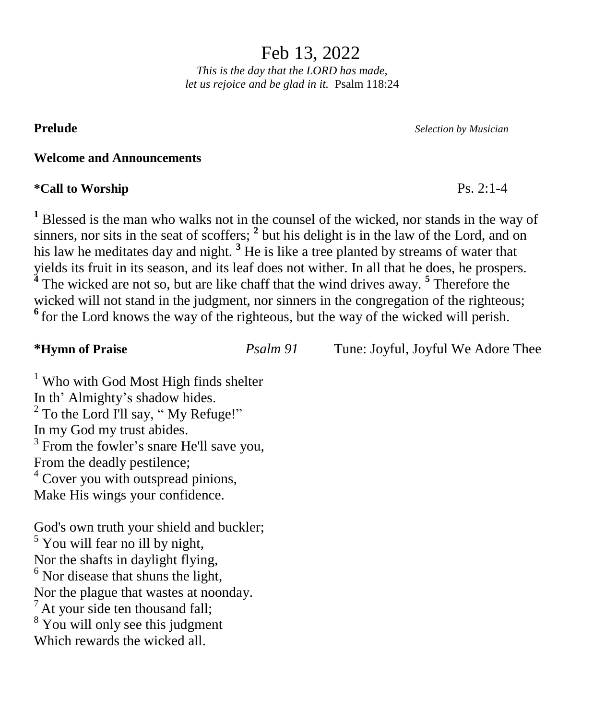Feb 13, 2022

*This is the day that the LORD has made, let us rejoice and be glad in it.* Psalm 118:24

**Prelude** *Selection by Musician*

### **Welcome and Announcements**

### **\*Call to Worship** Ps. 2:1-4

**<sup>1</sup>** Blessed is the man who walks not in the counsel of the wicked, nor stands in the way of sinners, nor sits in the seat of scoffers; <sup>2</sup> but his delight is in the law of the Lord, and on his law he meditates day and night. **<sup>3</sup>** He is like a tree planted by streams of water that yields its fruit in its season, and its leaf does not wither. In all that he does, he prospers. **4** The wicked are not so, but are like chaff that the wind drives away. **<sup>5</sup>** Therefore the wicked will not stand in the judgment, nor sinners in the congregation of the righteous; <sup>6</sup> for the Lord knows the way of the righteous, but the way of the wicked will perish.

| *Hymn of Praise                                   | Psalm 91 | Tune: Joyful, Joyful We Adore Thee |
|---------------------------------------------------|----------|------------------------------------|
| <sup>1</sup> Who with God Most High finds shelter |          |                                    |
| In th <sup>3</sup> Almighty's shadow hides        |          |                                    |

In th' Almighty's shadow hides. <sup>2</sup> To the Lord I'll say, " My Refuge!" In my God my trust abides. <sup>3</sup> From the fowler's snare He'll save you, From the deadly pestilence; <sup>4</sup> Cover you with outspread pinions, Make His wings your confidence.

God's own truth your shield and buckler; <sup>5</sup> You will fear no ill by night, Nor the shafts in daylight flying,  $<sup>6</sup>$  Nor disease that shuns the light,</sup> Nor the plague that wastes at noonday.  $<sup>7</sup>$  At your side ten thousand fall;</sup> <sup>8</sup> You will only see this judgment Which rewards the wicked all.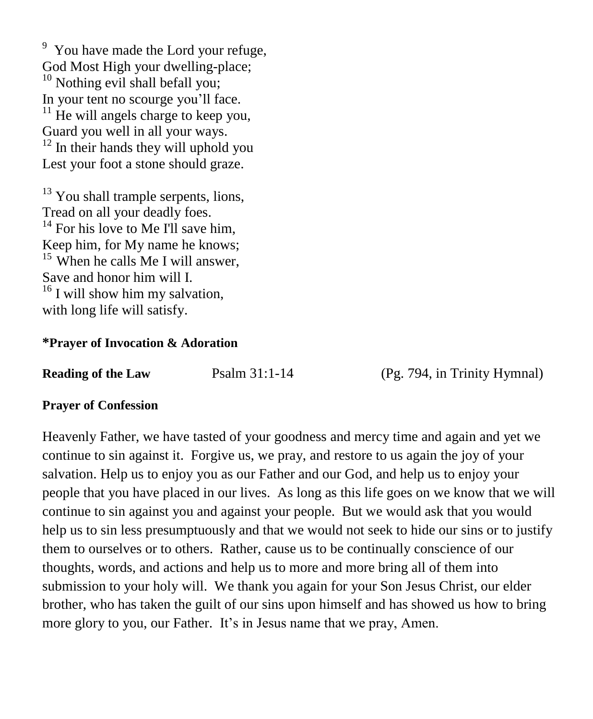<sup>9</sup> You have made the Lord your refuge, God Most High your dwelling-place; <sup>10</sup> Nothing evil shall befall you; In your tent no scourge you'll face.  $11$  He will angels charge to keep you, Guard you well in all your ways.  $12$  In their hands they will uphold you Lest your foot a stone should graze.

 $13$  You shall trample serpents, lions, Tread on all your deadly foes.  $14$  For his love to Me I'll save him, Keep him, for My name he knows;  $15$  When he calls Me I will answer. Save and honor him will I.  $16$  I will show him my salvation, with long life will satisfy.

### **\*Prayer of Invocation & Adoration**

| <b>Reading of the Law</b> | Psalm 31:1-14 |
|---------------------------|---------------|
|---------------------------|---------------|

**(Pg. 794, in Trinity Hymnal)** 

### **Prayer of Confession**

Heavenly Father, we have tasted of your goodness and mercy time and again and yet we continue to sin against it. Forgive us, we pray, and restore to us again the joy of your salvation. Help us to enjoy you as our Father and our God, and help us to enjoy your people that you have placed in our lives. As long as this life goes on we know that we will continue to sin against you and against your people. But we would ask that you would help us to sin less presumptuously and that we would not seek to hide our sins or to justify them to ourselves or to others. Rather, cause us to be continually conscience of our thoughts, words, and actions and help us to more and more bring all of them into submission to your holy will. We thank you again for your Son Jesus Christ, our elder brother, who has taken the guilt of our sins upon himself and has showed us how to bring more glory to you, our Father. It's in Jesus name that we pray, Amen.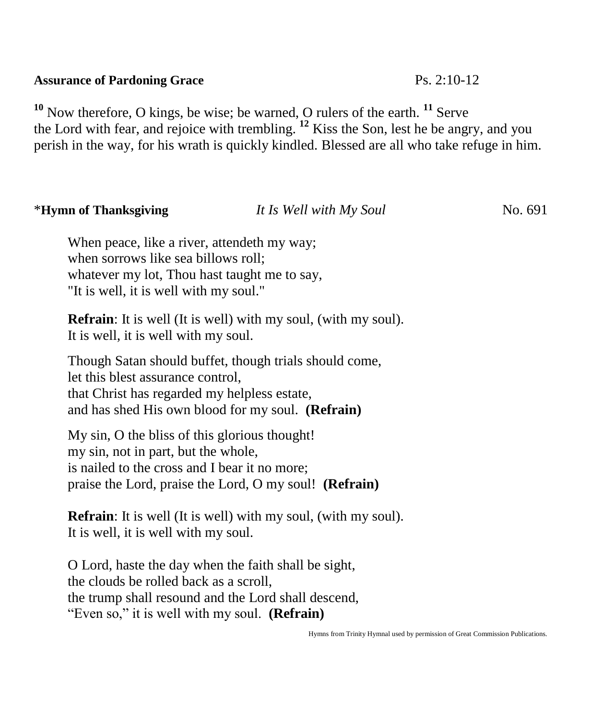## **Assurance of Pardoning Grace** Ps. 2:10-12

**<sup>10</sup>** Now therefore, O kings, be wise; be warned, O rulers of the earth. **<sup>11</sup>** Serve the Lord with fear, and rejoice with trembling. **<sup>12</sup>** Kiss the Son, lest he be angry, and you perish in the way, for his wrath is quickly kindled. Blessed are all who take refuge in him.

## \***Hymn of Thanksgiving** *It Is Well with My Soul* No. 691

When peace, like a river, attendeth my way; when sorrows like sea billows roll; whatever my lot, Thou hast taught me to say, "It is well, it is well with my soul."

**Refrain**: It is well (It is well) with my soul, (with my soul). It is well, it is well with my soul.

Though Satan should buffet, though trials should come, let this blest assurance control, that Christ has regarded my helpless estate, and has shed His own blood for my soul. **(Refrain)**

My sin, O the bliss of this glorious thought! my sin, not in part, but the whole, is nailed to the cross and I bear it no more; praise the Lord, praise the Lord, O my soul! **(Refrain)**

**Refrain**: It is well (It is well) with my soul, (with my soul). It is well, it is well with my soul.

O Lord, haste the day when the faith shall be sight, the clouds be rolled back as a scroll, the trump shall resound and the Lord shall descend, "Even so," it is well with my soul. **(Refrain)**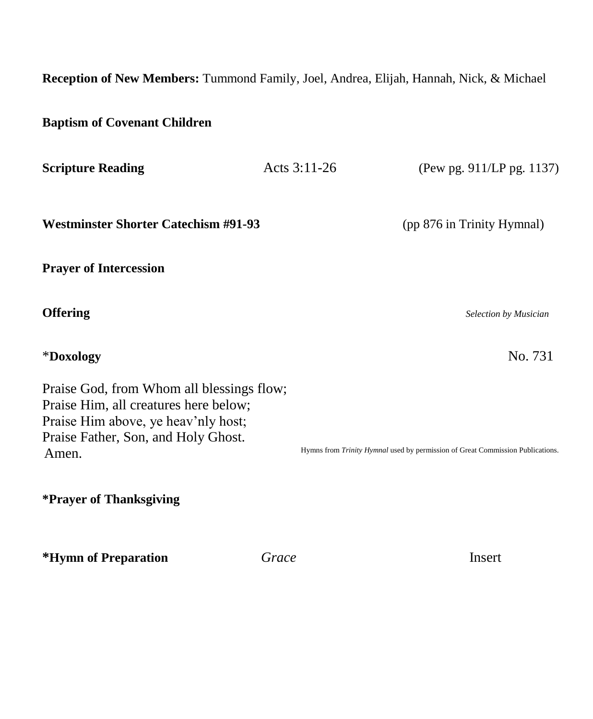**Reception of New Members:** Tummond Family, Joel, Andrea, Elijah, Hannah, Nick, & Michael

| <b>Baptism of Covenant Children</b>                                                                                                                                       |              |                                                                                |
|---------------------------------------------------------------------------------------------------------------------------------------------------------------------------|--------------|--------------------------------------------------------------------------------|
| <b>Scripture Reading</b>                                                                                                                                                  | Acts 3:11-26 | (Pew pg. 911/LP pg. 1137)                                                      |
| <b>Westminster Shorter Catechism #91-93</b>                                                                                                                               |              | (pp 876 in Trinity Hymnal)                                                     |
| <b>Prayer of Intercession</b>                                                                                                                                             |              |                                                                                |
| <b>Offering</b>                                                                                                                                                           |              | Selection by Musician                                                          |
| *Doxology                                                                                                                                                                 |              | No. 731                                                                        |
| Praise God, from Whom all blessings flow;<br>Praise Him, all creatures here below;<br>Praise Him above, ye heav'nly host;<br>Praise Father, Son, and Holy Ghost.<br>Amen. |              | Hymns from Trinity Hymnal used by permission of Great Commission Publications. |
| *Prayer of Thanksgiving                                                                                                                                                   |              |                                                                                |
| *Hymn of Preparation                                                                                                                                                      | Grace        | Insert                                                                         |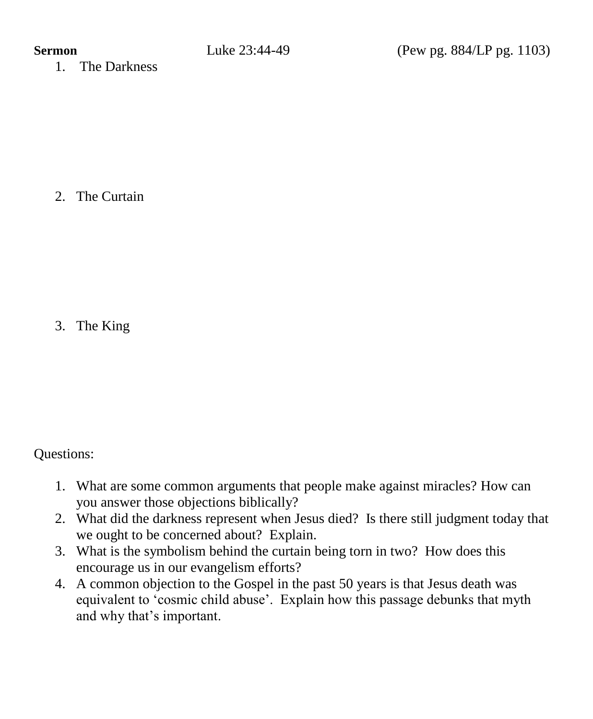1. The Darkness

2. The Curtain

3. The King

Questions:

- 1. What are some common arguments that people make against miracles? How can you answer those objections biblically?
- 2. What did the darkness represent when Jesus died? Is there still judgment today that we ought to be concerned about? Explain.
- 3. What is the symbolism behind the curtain being torn in two? How does this encourage us in our evangelism efforts?
- 4. A common objection to the Gospel in the past 50 years is that Jesus death was equivalent to 'cosmic child abuse'. Explain how this passage debunks that myth and why that's important.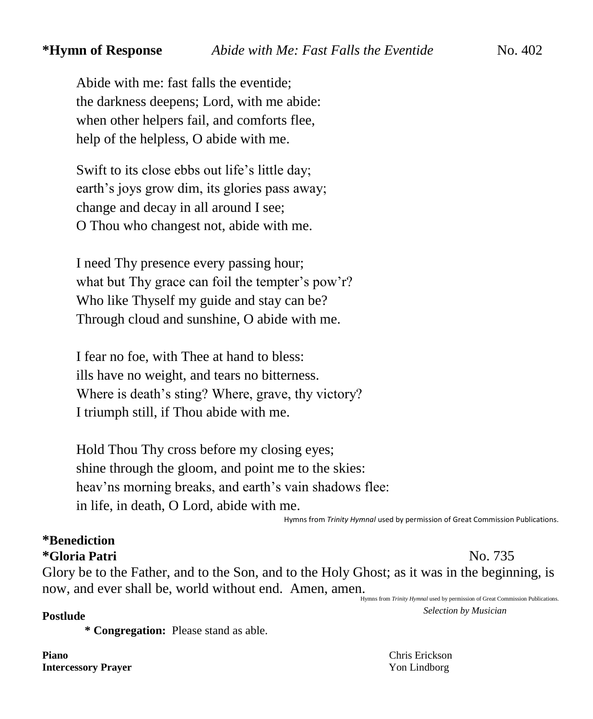Abide with me: fast falls the eventide; the darkness deepens; Lord, with me abide: when other helpers fail, and comforts flee, help of the helpless, O abide with me.

Swift to its close ebbs out life's little day; earth's joys grow dim, its glories pass away; change and decay in all around I see; O Thou who changest not, abide with me.

I need Thy presence every passing hour; what but Thy grace can foil the tempter's pow'r? Who like Thyself my guide and stay can be? Through cloud and sunshine, O abide with me.

I fear no foe, with Thee at hand to bless: ills have no weight, and tears no bitterness. Where is death's sting? Where, grave, thy victory? I triumph still, if Thou abide with me.

Hold Thou Thy cross before my closing eyes; shine through the gloom, and point me to the skies: heav'ns morning breaks, and earth's vain shadows flee: in life, in death, O Lord, abide with me.

Hymns from *Trinity Hymnal* used by permission of Great Commission Publications.

# **\*Benediction**

# **\*Gloria Patri** No. 735

Glory be to the Father, and to the Son, and to the Holy Ghost; as it was in the beginning, is now, and ever shall be, world without end. Amen, amen.

Hymns from *Trinity Hymnal* used by permission of Great Commission Publications. **Postlude** *Selection by Musician*

**\* Congregation:** Please stand as able.

**Piano** Chris Erickson **Intercessory Prayer** Yon Lindborg